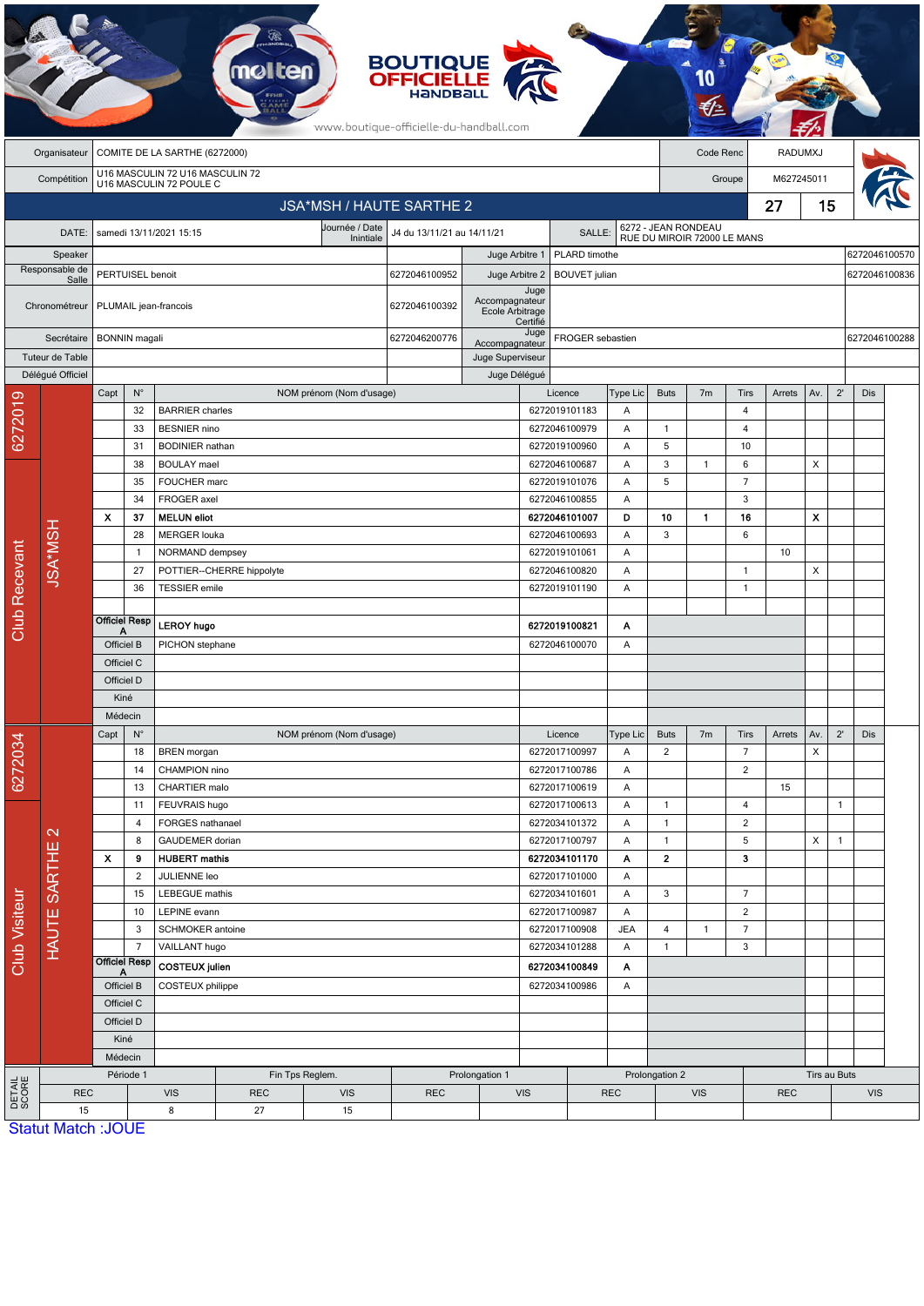|                                                                           | <b>BOUTIQUE</b><br><b>OFFICIELLE</b><br>www.boutique-officielle-du-handball.com |                                             |                                                                        |                                        |                           |                                            |                                      |                                        |                          |                                            |               |                                                    |                |                     |         |                           |               |               |  |
|---------------------------------------------------------------------------|---------------------------------------------------------------------------------|---------------------------------------------|------------------------------------------------------------------------|----------------------------------------|---------------------------|--------------------------------------------|--------------------------------------|----------------------------------------|--------------------------|--------------------------------------------|---------------|----------------------------------------------------|----------------|---------------------|---------|---------------------------|---------------|---------------|--|
|                                                                           | Organisateur                                                                    |                                             | COMITE DE LA SARTHE (6272000)                                          |                                        |                           |                                            |                                      |                                        |                          |                                            |               |                                                    | Code Renc      |                     | RADUMXJ |                           |               |               |  |
| U16 MASCULIN 72 U16 MASCULIN 72<br>U16 MASCULIN 72 POULE C<br>Compétition |                                                                                 |                                             |                                                                        |                                        |                           |                                            |                                      |                                        |                          |                                            |               |                                                    | Groupe         |                     |         | M627245011                |               |               |  |
| JSA*MSH / HAUTE SARTHE 2                                                  |                                                                                 |                                             |                                                                        |                                        |                           |                                            |                                      |                                        |                          |                                            |               |                                                    |                |                     | 27      | 15                        |               |               |  |
|                                                                           | DATE:                                                                           |                                             |                                                                        | samedi 13/11/2021 15:15                |                           | Journée / Date                             | J4 du 13/11/21 au 14/11/21<br>SALLE: |                                        |                          |                                            |               | 6272 - JEAN RONDEAU<br>RUE DU MIROIR 72000 LE MANS |                |                     |         |                           |               |               |  |
|                                                                           | Speaker                                                                         |                                             |                                                                        |                                        |                           | Inintiale                                  |                                      | Juge Arbitre 1                         | PLARD timothe            |                                            |               |                                                    |                |                     |         |                           |               | 6272046100570 |  |
|                                                                           | Responsable de<br>Salle                                                         |                                             | PERTUISEL benoit                                                       |                                        |                           | 6272046100952                              |                                      | Juge Arbitre 2<br><b>BOUVET</b> julian |                          |                                            |               |                                                    |                |                     |         |                           | 6272046100836 |               |  |
|                                                                           | Chronométreur                                                                   |                                             |                                                                        | PLUMAIL jean-francois                  |                           | 6272046100392                              | Accompagnateur<br>Ecole Arbitrage    | Juge<br>Certifié                       |                          |                                            |               |                                                    |                |                     |         |                           |               |               |  |
|                                                                           | Secrétaire                                                                      | <b>BONNIN</b> magali                        |                                                                        |                                        |                           |                                            | 6272046200776<br>Accompagnateur      |                                        | Juge<br>FROGER sebastien |                                            |               |                                                    |                |                     |         |                           |               | 6272046100288 |  |
|                                                                           | Tuteur de Table                                                                 |                                             |                                                                        |                                        |                           |                                            |                                      | Juge Superviseur                       |                          |                                            |               |                                                    |                |                     |         |                           |               |               |  |
|                                                                           | Délégué Officiel                                                                |                                             |                                                                        |                                        |                           |                                            |                                      | Juge Délégué                           |                          |                                            |               |                                                    |                |                     |         |                           |               |               |  |
| 6272019                                                                   |                                                                                 | Capt                                        | $\mathsf{N}^\circ$<br>32                                               | <b>BARRIER</b> charles                 |                           | NOM prénom (Nom d'usage)                   |                                      |                                        |                          | Licence<br>6272019101183                   | Type Lic<br>Α | <b>Buts</b>                                        | 7 <sub>m</sub> | <b>Tirs</b><br>4    | Arrets  | Av.                       | $2^{\prime}$  | <b>Dis</b>    |  |
|                                                                           |                                                                                 |                                             | 33                                                                     | <b>BESNIER</b> nino                    |                           |                                            |                                      |                                        |                          | 6272046100979                              | Α             | $\overline{1}$                                     |                | 4                   |         |                           |               |               |  |
|                                                                           |                                                                                 |                                             | 31                                                                     | <b>BODINIER</b> nathan                 |                           |                                            |                                      |                                        |                          | 6272019100960                              | Α             | 5                                                  |                | 10                  |         |                           |               |               |  |
|                                                                           |                                                                                 |                                             | 38                                                                     | <b>BOULAY</b> mael                     |                           |                                            |                                      |                                        |                          | 6272046100687                              | Α             | 3                                                  | $\mathbf{1}$   | 6                   |         | X                         |               |               |  |
|                                                                           |                                                                                 |                                             | 35                                                                     | FOUCHER marc                           |                           |                                            |                                      |                                        |                          | 6272019101076                              | Α             | 5                                                  |                | $\overline{7}$      |         |                           |               |               |  |
|                                                                           |                                                                                 |                                             | 34                                                                     | FROGER axel                            |                           |                                            |                                      |                                        |                          | 6272046100855                              | A             |                                                    |                | 3                   |         |                           |               |               |  |
|                                                                           | <b>HSM*NSH</b>                                                                  | $\boldsymbol{\mathsf{x}}$                   | 37                                                                     | <b>MELUN eliot</b>                     |                           |                                            |                                      |                                        |                          | 6272046101007                              | D             | 10                                                 | $\mathbf{1}$   | 16                  |         | $\boldsymbol{\mathsf{x}}$ |               |               |  |
|                                                                           |                                                                                 |                                             | 28                                                                     | <b>MERGER louka</b>                    |                           |                                            |                                      |                                        | 6272046100693            |                                            | Α             | 3                                                  |                | 6                   |         |                           |               |               |  |
|                                                                           |                                                                                 |                                             | 1                                                                      | NORMAND dempsey                        |                           |                                            |                                      |                                        |                          | 6272019101061                              | A             |                                                    |                |                     | 10      |                           |               |               |  |
|                                                                           |                                                                                 |                                             | 27                                                                     |                                        | POTTIER--CHERRE hippolyte |                                            |                                      |                                        |                          | 6272046100820                              | A             |                                                    |                | $\mathbf{1}$        |         | X                         |               |               |  |
|                                                                           |                                                                                 |                                             | 36                                                                     | <b>TESSIER</b> emile                   |                           |                                            |                                      |                                        |                          | 6272019101190                              | Α             |                                                    |                | $\mathbf{1}$        |         |                           |               |               |  |
| <b>Club Recevant</b>                                                      |                                                                                 |                                             | <b>Officiel Resp</b>                                                   | <b>LEROY hugo</b>                      |                           |                                            |                                      | 6272019100821<br>A                     |                          |                                            |               |                                                    |                |                     |         |                           |               |               |  |
|                                                                           |                                                                                 | Α<br>Officiel B                             |                                                                        | PICHON stephane                        |                           |                                            |                                      | 6272046100070                          |                          |                                            | Α             |                                                    |                |                     |         |                           |               |               |  |
|                                                                           |                                                                                 | Officiel C                                  |                                                                        |                                        |                           |                                            |                                      |                                        |                          |                                            |               |                                                    |                |                     |         |                           |               |               |  |
|                                                                           |                                                                                 | Officiel D                                  |                                                                        |                                        |                           |                                            |                                      |                                        |                          |                                            |               |                                                    |                |                     |         |                           |               |               |  |
|                                                                           |                                                                                 | Kiné                                        |                                                                        |                                        |                           |                                            |                                      |                                        |                          |                                            |               |                                                    |                |                     |         |                           |               |               |  |
|                                                                           |                                                                                 | Médecin                                     |                                                                        |                                        |                           |                                            |                                      |                                        |                          |                                            |               |                                                    |                |                     |         |                           |               |               |  |
| 6272034                                                                   |                                                                                 | Capt                                        | $N^{\circ}$                                                            |                                        |                           | NOM prénom (Nom d'usage)                   |                                      |                                        |                          | Licence                                    | Type Lic      | <b>Buts</b>                                        | 7m             | Tirs                | Arrets  | Av.                       | $2^{\prime}$  | Dis           |  |
|                                                                           | $\mathbf{\Omega}$                                                               |                                             | 18                                                                     | <b>BREN</b> morgan                     |                           |                                            |                                      |                                        |                          | 6272017100997                              | Α             | $\overline{2}$                                     |                | $\overline{7}$      |         | X                         |               |               |  |
|                                                                           |                                                                                 |                                             | 14                                                                     | CHAMPION nino                          |                           |                                            |                                      |                                        |                          | 6272017100786                              | Α             |                                                    |                | $\overline{2}$      |         |                           |               |               |  |
|                                                                           |                                                                                 |                                             | 13                                                                     | CHARTIER malo                          |                           |                                            |                                      |                                        |                          | 6272017100619                              | Α             |                                                    |                |                     | 15      |                           |               |               |  |
|                                                                           |                                                                                 |                                             | 11                                                                     | FEUVRAIS hugo<br>FORGES nathanael      |                           |                                            |                                      |                                        |                          | 6272017100613                              | Α             | $\mathbf{1}$                                       |                | $\overline{4}$      |         |                           | $\mathbf{1}$  |               |  |
|                                                                           |                                                                                 |                                             | 4<br>8                                                                 | GAUDEMER dorian                        |                           |                                            |                                      |                                        |                          | 6272034101372<br>6272017100797             | Α<br>Α        | $\mathbf{1}$<br>$\mathbf{1}$                       |                | $\overline{2}$<br>5 |         | X                         | $\mathbf{1}$  |               |  |
|                                                                           |                                                                                 | X                                           | 9                                                                      | <b>HUBERT</b> mathis                   |                           |                                            |                                      |                                        |                          | 6272034101170                              | Α             | $\overline{2}$                                     |                | 3                   |         |                           |               |               |  |
|                                                                           | HAUTE SARTHE                                                                    |                                             | $\overline{2}$                                                         | JULIENNE leo                           |                           |                                            |                                      |                                        |                          | 6272017101000                              | Α             |                                                    |                |                     |         |                           |               |               |  |
|                                                                           |                                                                                 |                                             | 15                                                                     | <b>LEBEGUE</b> mathis                  |                           |                                            |                                      |                                        |                          | 6272034101601                              | Α             | 3                                                  |                | $\overline{7}$      |         |                           |               |               |  |
|                                                                           |                                                                                 |                                             | 10                                                                     | LEPINE evann                           |                           |                                            |                                      |                                        |                          | 6272017100987                              | Α             |                                                    |                | $\overline{2}$      |         |                           |               |               |  |
|                                                                           |                                                                                 |                                             | 3                                                                      | SCHMOKER antoine                       |                           |                                            |                                      |                                        |                          | 6272017100908                              | <b>JEA</b>    | $\overline{\mathbf{4}}$                            | $\mathbf{1}$   | $\overline{7}$      |         |                           |               |               |  |
| Club Visiteur                                                             |                                                                                 | $\overline{7}$<br><b>Officiel Resp</b><br>A |                                                                        | VAILLANT hugo<br><b>COSTEUX</b> julien |                           |                                            |                                      | 6272034101288<br>6272034100849         |                          | Α                                          | $\mathbf{1}$  |                                                    | $\mathbf{3}$   |                     |         |                           |               |               |  |
|                                                                           |                                                                                 |                                             |                                                                        |                                        |                           |                                            |                                      |                                        |                          | Α                                          |               |                                                    |                |                     |         |                           |               |               |  |
|                                                                           |                                                                                 |                                             | Officiel B                                                             | COSTEUX philippe                       |                           |                                            |                                      | 6272034100986                          |                          | A                                          |               |                                                    |                |                     |         |                           |               |               |  |
|                                                                           |                                                                                 |                                             | Officiel C                                                             |                                        |                           |                                            |                                      |                                        |                          |                                            |               |                                                    |                |                     |         |                           |               |               |  |
|                                                                           |                                                                                 | Officiel D                                  |                                                                        |                                        |                           |                                            |                                      |                                        |                          |                                            |               |                                                    |                |                     |         |                           |               |               |  |
|                                                                           |                                                                                 |                                             | Kiné                                                                   |                                        |                           |                                            |                                      |                                        |                          |                                            |               |                                                    |                |                     |         |                           |               |               |  |
|                                                                           |                                                                                 | Médecin                                     |                                                                        |                                        |                           |                                            |                                      |                                        |                          |                                            |               |                                                    |                |                     |         |                           | Tirs au Buts  |               |  |
| DETAIL<br>SCORE                                                           | <b>REC</b>                                                                      |                                             | Période 1<br>Fin Tps Reglem.<br><b>VIS</b><br><b>REC</b><br><b>VIS</b> |                                        |                           | Prolongation 1<br><b>REC</b><br><b>VIS</b> |                                      |                                        |                          | Prolongation 2<br><b>REC</b><br><b>VIS</b> |               |                                                    |                | <b>REC</b>          |         |                           | <b>VIS</b>    |               |  |
|                                                                           | 15                                                                              |                                             |                                                                        | 8                                      | 27                        | 15                                         |                                      |                                        |                          |                                            |               |                                                    |                |                     |         |                           |               |               |  |
|                                                                           | <b>Statut Match: JOUE</b>                                                       |                                             |                                                                        |                                        |                           |                                            |                                      |                                        |                          |                                            |               |                                                    |                |                     |         |                           |               |               |  |